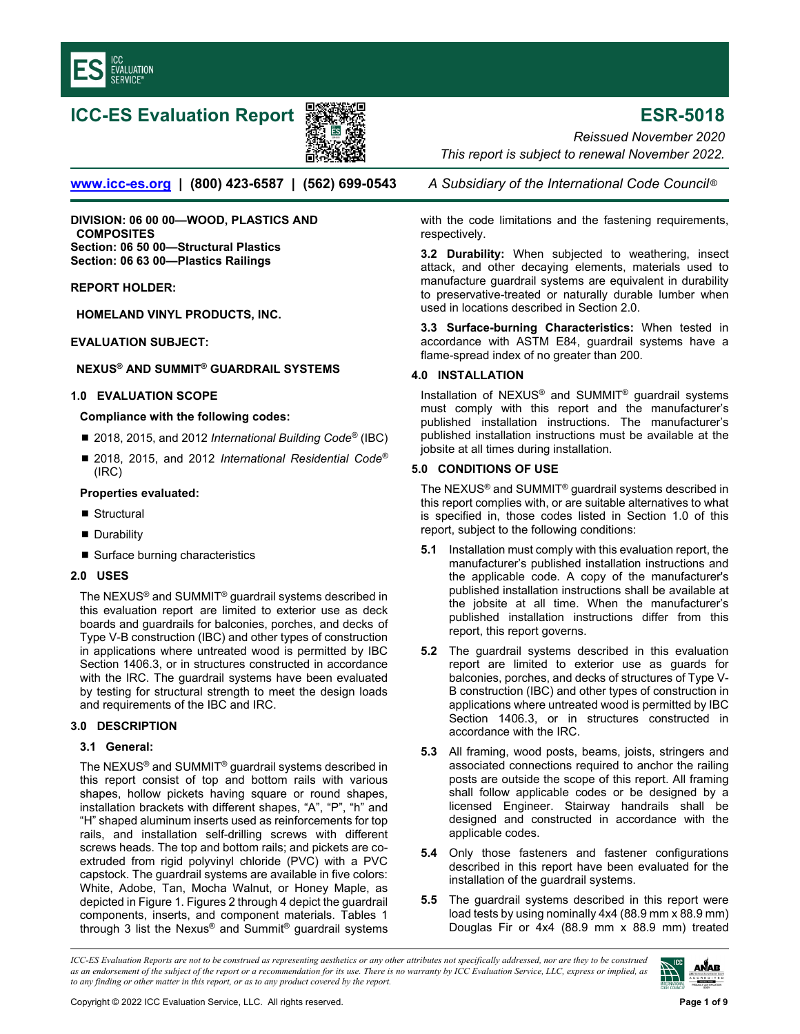

# **ICC-ES Evaluation Report ESR-5018**



*Reissued November 2020 This report is subject to renewal November 2022.* 

**www.icc-es.org | (800) 423-6587 | (562) 699-0543** *A Subsidiary of the International Code Council* ®

**DIVISION: 06 00 00—WOOD, PLASTICS AND COMPOSITES Section: 06 50 00—Structural Plastics Section: 06 63 00—Plastics Railings** 

**REPORT HOLDER:** 

**HOMELAND VINYL PRODUCTS, INC.** 

## **EVALUATION SUBJECT:**

# **NEXUS® AND SUMMIT® GUARDRAIL SYSTEMS**

## **1.0 EVALUATION SCOPE**

## **Compliance with the following codes:**

- 2018, 2015, and 2012 *International Building Code<sup>®</sup>* (IBC)
- 2018, 2015, and 2012 *International Residential Code<sup>®</sup>* (IRC)

## **Properties evaluated:**

- Structural
- **Durability**
- Surface burning characteristics

# **2.0 USES**

The NEXUS® and SUMMIT® guardrail systems described in this evaluation report are limited to exterior use as deck boards and guardrails for balconies, porches, and decks of Type V-B construction (IBC) and other types of construction in applications where untreated wood is permitted by IBC Section 1406.3, or in structures constructed in accordance with the IRC. The guardrail systems have been evaluated by testing for structural strength to meet the design loads and requirements of the IBC and IRC.

# **3.0 DESCRIPTION**

#### **3.1 General:**

The NEXUS® and SUMMIT® guardrail systems described in this report consist of top and bottom rails with various shapes, hollow pickets having square or round shapes, installation brackets with different shapes, "A", "P", "h" and "H" shaped aluminum inserts used as reinforcements for top rails, and installation self-drilling screws with different screws heads. The top and bottom rails; and pickets are coextruded from rigid polyvinyl chloride (PVC) with a PVC capstock. The guardrail systems are available in five colors: White, Adobe, Tan, Mocha Walnut, or Honey Maple, as depicted in Figure 1. Figures 2 through 4 depict the guardrail components, inserts, and component materials. Tables 1 through 3 list the Nexus® and Summit® guardrail systems with the code limitations and the fastening requirements, respectively.

**3.2 Durability:** When subjected to weathering, insect attack, and other decaying elements, materials used to manufacture guardrail systems are equivalent in durability to preservative-treated or naturally durable lumber when used in locations described in Section 2.0.

**3.3 Surface-burning Characteristics:** When tested in accordance with ASTM E84, guardrail systems have a flame-spread index of no greater than 200.

## **4.0 INSTALLATION**

Installation of NEXUS® and SUMMIT® guardrail systems must comply with this report and the manufacturer's published installation instructions. The manufacturer's published installation instructions must be available at the jobsite at all times during installation.

## **5.0 CONDITIONS OF USE**

The NEXUS® and SUMMIT® guardrail systems described in this report complies with, or are suitable alternatives to what is specified in, those codes listed in Section 1.0 of this report, subject to the following conditions:

- **5.1** Installation must comply with this evaluation report, the manufacturer's published installation instructions and the applicable code. A copy of the manufacturer's published installation instructions shall be available at the jobsite at all time. When the manufacturer's published installation instructions differ from this report, this report governs.
- **5.2** The guardrail systems described in this evaluation report are limited to exterior use as guards for balconies, porches, and decks of structures of Type V-B construction (IBC) and other types of construction in applications where untreated wood is permitted by IBC Section 1406.3, or in structures constructed in accordance with the IRC.
- **5.3** All framing, wood posts, beams, joists, stringers and associated connections required to anchor the railing posts are outside the scope of this report. All framing shall follow applicable codes or be designed by a licensed Engineer. Stairway handrails shall be designed and constructed in accordance with the applicable codes.
- **5.4** Only those fasteners and fastener configurations described in this report have been evaluated for the installation of the guardrail systems.
- **5.5** The guardrail systems described in this report were load tests by using nominally 4x4 (88.9 mm x 88.9 mm) Douglas Fir or 4x4 (88.9 mm x 88.9 mm) treated

*ICC-ES Evaluation Reports are not to be construed as representing aesthetics or any other attributes not specifically addressed, nor are they to be construed as an endorsement of the subject of the report or a recommendation for its use. There is no warranty by ICC Evaluation Service, LLC, express or implied, as to any finding or other matter in this report, or as to any product covered by the report.*

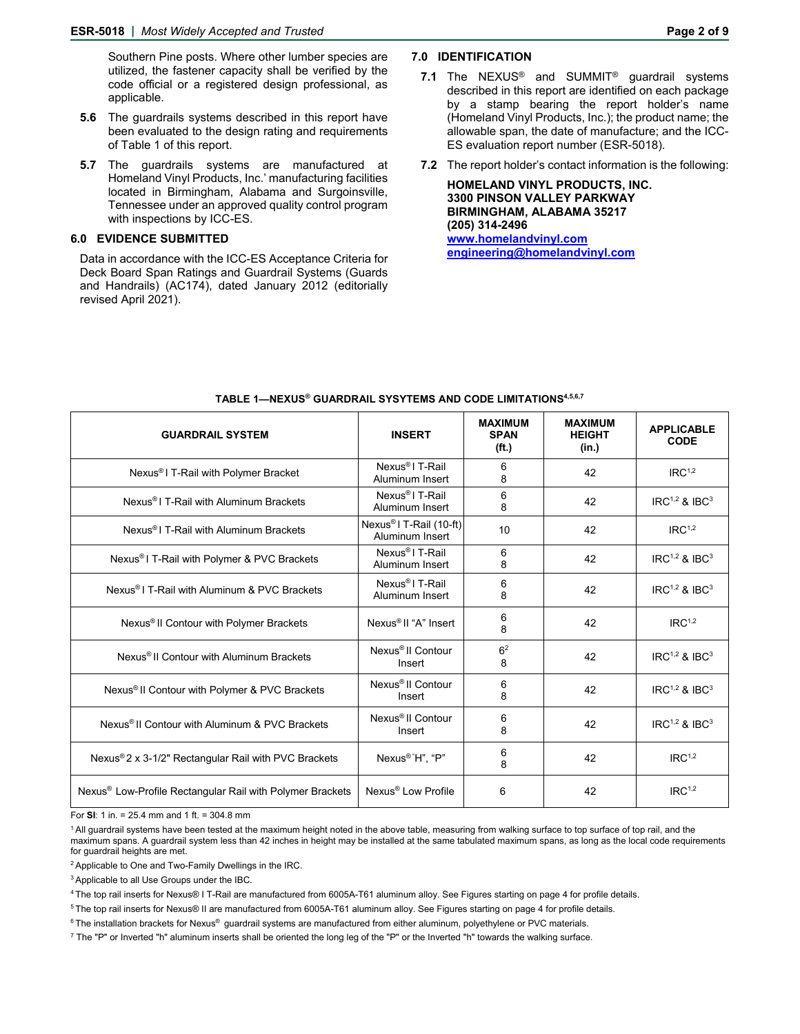Southern Pine posts. Where other lumber species are utilized, the fastener capacity shall be verified by the code official or a registered design professional, as applicable.

- **5.6** The guardrails systems described in this report have been evaluated to the design rating and requirements of Table 1 of this report.
- **5.7** The guardrails systems are manufactured at Homeland Vinyl Products, Inc.' manufacturing facilities located in Birmingham, Alabama and Surgoinsville, Tennessee under an approved quality control program with inspections by ICC-ES.

# **6.0 EVIDENCE SUBMITTED**

Data in accordance with the ICC-ES Acceptance Criteria for Deck Board Span Ratings and Guardrail Systems (Guards and Handrails) (AC174), dated January 2012 (editorially revised April 2021).

# **7.0 IDENTIFICATION**

- **7.1** The NEXUS® and SUMMIT® guardrail systems described in this report are identified on each package by a stamp bearing the report holder's name (Homeland Vinyl Products, Inc.); the product name; the allowable span, the date of manufacture; and the ICC-ES evaluation report number (ESR-5018).
- **7.2** The report holder's contact information is the following:

**HOMELAND VINYL PRODUCTS, INC. 3300 PINSON VALLEY PARKWAY BIRMINGHAM, ALABAMA 35217 (205) 314-2496 www.homelandvinyl.com engineering@homelandvinyl.com** 

| <b>GUARDRAIL SYSTEM</b>                                               | <b>INSERT</b>                                          | <b>MAXIMUM</b><br><b>SPAN</b><br>(ft.) | <b>MAXIMUM</b><br><b>HEIGHT</b><br>(in.) | <b>APPLICABLE</b><br><b>CODE</b> |
|-----------------------------------------------------------------------|--------------------------------------------------------|----------------------------------------|------------------------------------------|----------------------------------|
| Nexus® I T-Rail with Polymer Bracket                                  | Nexus <sup>®</sup> I T-Rail<br>Aluminum Insert         | 6<br>8                                 | 42                                       | IRC <sup>1,2</sup>               |
| Nexus <sup>®</sup> I T-Rail with Aluminum Brackets                    | Nexus <sup>®</sup> I T-Rail<br>Aluminum Insert         | 6<br>8                                 | 42                                       | $IRC^{1,2}$ & $IBC^3$            |
| Nexus® I T-Rail with Aluminum Brackets                                | Nexus <sup>®</sup> I T-Rail (10-ft)<br>Aluminum Insert | 10                                     | 42                                       | IRC <sup>1,2</sup>               |
| Nexus® I T-Rail with Polymer & PVC Brackets                           | Nexus <sup>®</sup> I T-Rail<br>Aluminum Insert         | 6<br>8                                 | 42                                       | $IRC^{1,2}$ & $IBC^3$            |
| Nexus <sup>®</sup> I T-Rail with Aluminum & PVC Brackets              | Nexus <sup>®</sup> I T-Rail<br>Aluminum Insert         | 6<br>8                                 | 42                                       | $IRC^{1,2}$ & $IBC^3$            |
| Nexus <sup>®</sup> II Contour with Polymer Brackets                   | Nexus <sup>®</sup> II "A" Insert                       | 6<br>8                                 | 42                                       | IRC <sup>1,2</sup>               |
| Nexus <sup>®</sup> II Contour with Aluminum Brackets                  | Nexus <sup>®</sup> II Contour<br>Insert                | 6 <sup>2</sup><br>8                    | 42                                       | $IRC^{1,2}$ & $IBC^3$            |
| Nexus <sup>®</sup> II Contour with Polymer & PVC Brackets             | Nexus <sup>®</sup> II Contour<br>Insert                | 6<br>8                                 | 42                                       | $IRC1,2$ & $IBC3$                |
| Nexus <sup>®</sup> II Contour with Aluminum & PVC Brackets            | Nexus <sup>®</sup> II Contour<br>Insert                | 6<br>8                                 | 42                                       | $IRC^{1,2}$ & $IBC^3$            |
| Nexus® 2 x 3-1/2" Rectangular Rail with PVC Brackets                  | Nexus® "H", "P"                                        | 6<br>8                                 | 42                                       | IRC <sup>1,2</sup>               |
| Nexus <sup>®</sup> Low-Profile Rectangular Rail with Polymer Brackets | Nexus <sup>®</sup> Low Profile                         | 6                                      | 42                                       | IRC <sup>1,2</sup>               |
|                                                                       |                                                        |                                        |                                          |                                  |

#### **TABLE 1—NEXUS® GUARDRAIL SYSYTEMS AND CODE LIMITATIONS4,5,6,7**

For **SI**: 1 in. = 25.4 mm and 1 ft. = 304.8 mm

<sup>1</sup> All guardrail systems have been tested at the maximum height noted in the above table, measuring from walking surface to top surface of top rail, and the maximum spans. A guardrail system less than 42 inches in height may be installed at the same tabulated maximum spans, as long as the local code requirements for guardrail heights are met.

<sup>2</sup> Applicable to One and Two-Family Dwellings in the IRC.

<sup>3</sup> Applicable to all Use Groups under the IBC.

<sup>4</sup> The top rail inserts for Nexus® I T-Rail are manufactured from 6005A-T61 aluminum alloy. See Figures starting on page 4 for profile details.

<sup>5</sup> The top rail inserts for Nexus® II are manufactured from 6005A-T61 aluminum alloy. See Figures starting on page 4 for profile details.

<sup>6</sup> The installation brackets for Nexus® guardrail systems are manufactured from either aluminum, polyethylene or PVC materials.

 $7$  The "P" or Inverted "h" aluminum inserts shall be oriented the long leg of the "P" or the Inverted "h" towards the walking surface.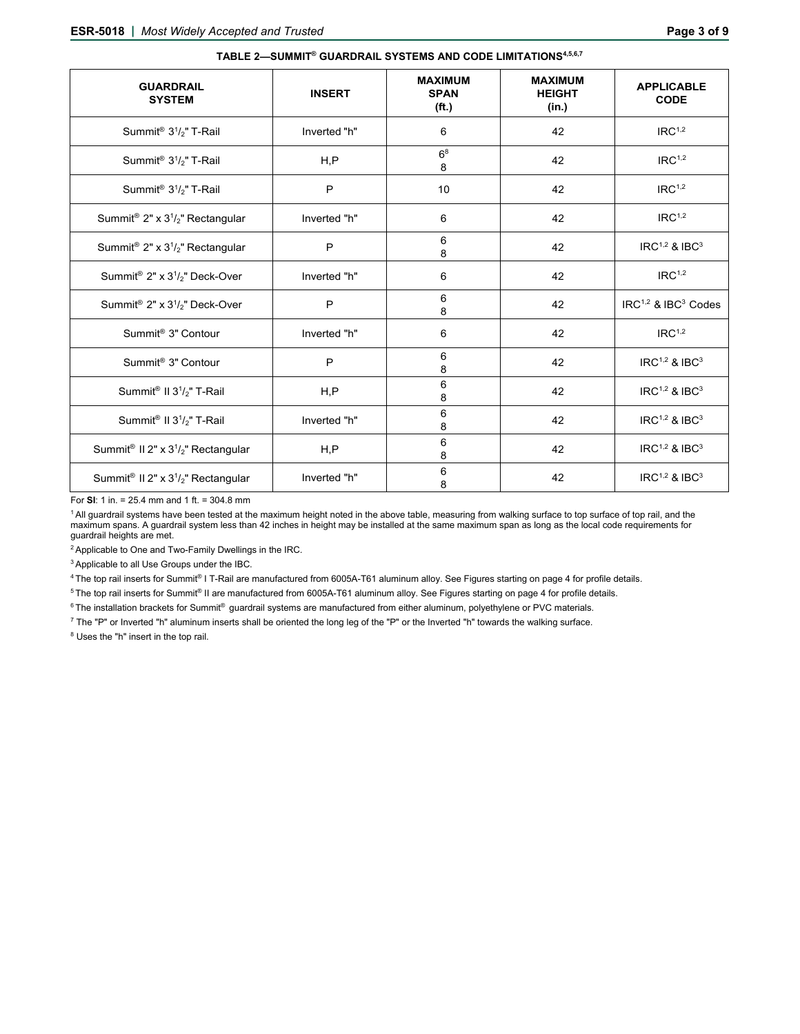| <b>GUARDRAIL</b><br><b>SYSTEM</b>                                       | <b>INSERT</b> | <b>MAXIMUM</b><br><b>SPAN</b><br>(f <sup>t</sup> ) | <b>MAXIMUM</b><br><b>HEIGHT</b><br>(in.) | <b>APPLICABLE</b><br><b>CODE</b>  |
|-------------------------------------------------------------------------|---------------|----------------------------------------------------|------------------------------------------|-----------------------------------|
| Summit <sup>®</sup> $3^{1}/2$ " T-Rail                                  | Inverted "h"  | 6                                                  | 42                                       | IRC <sup>1,2</sup>                |
| Summit <sup>®</sup> 3 <sup>1</sup> / <sub>2</sub> " T-Rail              | H, P          | 6 <sup>8</sup><br>8                                | 42                                       | IRC <sup>1,2</sup>                |
| Summit <sup>®</sup> 3 <sup>1</sup> / <sub>2</sub> " T-Rail              | P             | 10                                                 | 42                                       | IRC <sup>1,2</sup>                |
| Summit <sup>®</sup> 2" x $3^{1}/2$ " Rectangular                        | Inverted "h"  | 6                                                  | 42                                       | IRC <sup>1,2</sup>                |
| Summit <sup>®</sup> 2" x $3^{1}/2$ " Rectangular                        | P             | 6<br>8                                             | 42                                       | $IRC^{1,2}$ & $IBC^3$             |
| Summit <sup>®</sup> 2" x $3^{1}/2$ " Deck-Over                          | Inverted "h"  | 6                                                  | 42                                       | IRC <sup>1,2</sup>                |
| Summit <sup>®</sup> 2" x 3 <sup>1</sup> / <sub>2</sub> " Deck-Over      | P             | 6<br>8                                             | 42                                       | $IRC1,2$ & IBC <sup>3</sup> Codes |
| Summit <sup>®</sup> 3" Contour                                          | Inverted "h"  | 6                                                  | 42                                       | IRC <sup>1,2</sup>                |
| Summit <sup>®</sup> 3" Contour                                          | P             | 6<br>8                                             | 42                                       | $IRC^{1,2}$ & $IBC3$              |
| Summit <sup>®</sup> II 3 <sup>1</sup> / <sub>2</sub> " T-Rail           | H.P           | 6<br>8                                             | 42                                       | $IRC1,2$ & $IBC3$                 |
| Summit <sup>®</sup> II 3 <sup>1</sup> / <sub>2</sub> " T-Rail           | Inverted "h"  | 6<br>8                                             | 42                                       | $IRC^{1,2}$ & $IBC^3$             |
| Summit <sup>®</sup> II 2" x $3^{1}/2$ " Rectangular                     | H, P          | 6<br>8                                             | 42                                       | $IRC1,2$ & $IBC3$                 |
| Summit <sup>®</sup> Il 2" x 3 <sup>1</sup> / <sub>2</sub> " Rectangular | Inverted "h"  | 6<br>8                                             | 42                                       | $IRC^{1,2}$ & $IBC3$              |

**TABLE 2—SUMMIT® GUARDRAIL SYSTEMS AND CODE LIMITATIONS4,5,6,7** 

For **SI**: 1 in. = 25.4 mm and 1 ft. = 304.8 mm

1 All guardrail systems have been tested at the maximum height noted in the above table, measuring from walking surface to top surface of top rail, and the maximum spans. A guardrail system less than 42 inches in height may be installed at the same maximum span as long as the local code requirements for guardrail heights are met.

2 Applicable to One and Two-Family Dwellings in the IRC.

3 Applicable to all Use Groups under the IBC.

4 The top rail inserts for Summit® I T-Rail are manufactured from 6005A-T61 aluminum alloy. See Figures starting on page 4 for profile details.

<sup>5</sup> The top rail inserts for Summit® II are manufactured from 6005A-T61 aluminum alloy. See Figures starting on page 4 for profile details.

<sup>6</sup> The installation brackets for Summit<sup>®</sup> guardrail systems are manufactured from either aluminum, polyethylene or PVC materials.

7 The "P" or Inverted "h" aluminum inserts shall be oriented the long leg of the "P" or the Inverted "h" towards the walking surface.

<sup>8</sup> Uses the "h" insert in the top rail.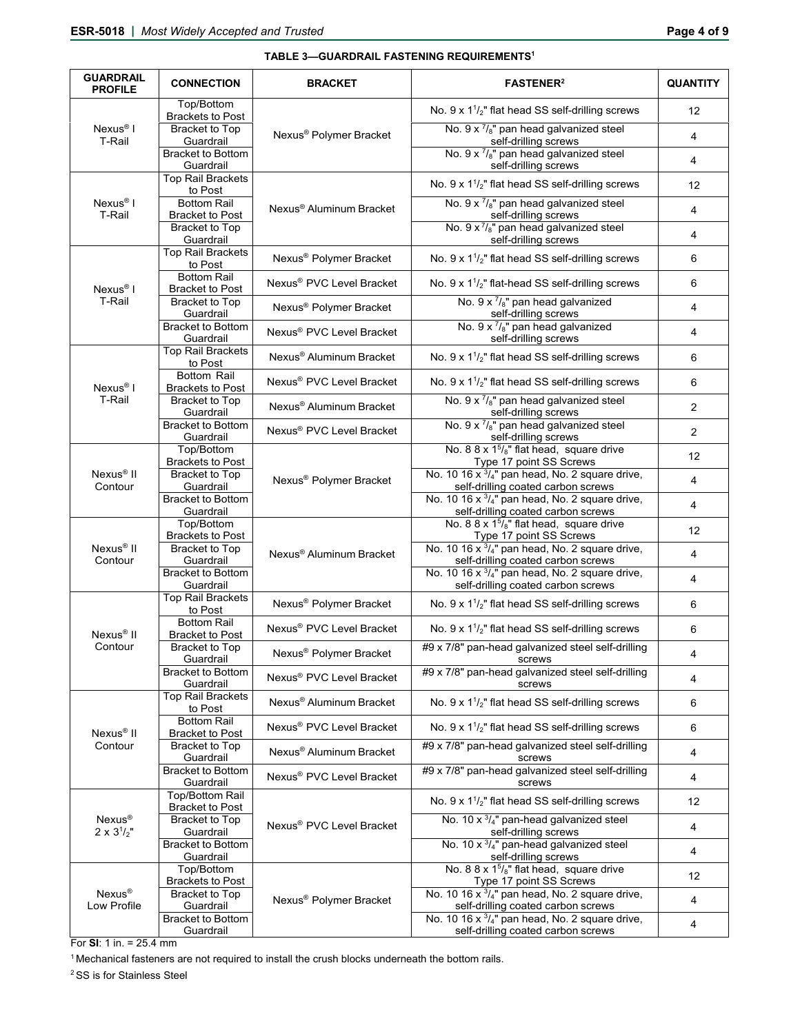## **TABLE 3—GUARDRAIL FASTENING REQUIREMENTS1**

| <b>GUARDRAIL</b><br><b>PROFILE</b>         | <b>CONNECTION</b>                             | <b>BRACKET</b>                       | <b>FASTENER<sup>2</sup></b>                                                                     | <b>QUANTITY</b> |
|--------------------------------------------|-----------------------------------------------|--------------------------------------|-------------------------------------------------------------------------------------------------|-----------------|
| Nexus <sup>®</sup> I<br>T-Rail             | Top/Bottom<br><b>Brackets to Post</b>         |                                      | No. $9 \times 1^{1/2}$ " flat head SS self-drilling screws                                      | 12              |
|                                            | <b>Bracket to Top</b><br>Guardrail            | Nexus <sup>®</sup> Polymer Bracket   | No. $9 \times \frac{7}{8}$ " pan head galvanized steel<br>self-drilling screws                  | 4               |
|                                            | <b>Bracket to Bottom</b><br>Guardrail         |                                      | No. 9 x $\frac{7}{8}$ " pan head galvanized steel<br>self-drilling screws                       | 4               |
|                                            | <b>Top Rail Brackets</b><br>to Post           | Nexus <sup>®</sup> Aluminum Bracket  | No. $9 \times 1^{1/2}$ " flat head SS self-drilling screws                                      | 12              |
| Nexus <sup>®</sup> I<br>T-Rail             | <b>Bottom Rail</b><br><b>Bracket to Post</b>  |                                      | No. 9 x 7/8" pan head galvanized steel<br>self-drilling screws                                  | 4               |
|                                            | <b>Bracket to Top</b><br>Guardrail            |                                      | No. 9 x 7/8" pan head galvanized steel<br>self-drilling screws                                  | 4               |
|                                            | <b>Top Rail Brackets</b><br>to Post           | Nexus <sup>®</sup> Polymer Bracket   | No. 9 x 1 <sup>1</sup> / <sub>2</sub> " flat head SS self-drilling screws                       | 6               |
| Nexus <sup>®</sup> I                       | <b>Bottom Rail</b><br><b>Bracket to Post</b>  | Nexus <sup>®</sup> PVC Level Bracket | No. 9 x 1 <sup>1</sup> / <sub>2</sub> " flat-head SS self-drilling screws                       | 6               |
| T-Rail                                     | Bracket to Top<br>Guardrail                   | Nexus <sup>®</sup> Polymer Bracket   | No. $9 \times \frac{7}{8}$ " pan head galvanized<br>self-drilling screws                        | 4               |
|                                            | <b>Bracket to Bottom</b><br>Guardrail         | Nexus <sup>®</sup> PVC Level Bracket | No. 9 x 7/8" pan head galvanized<br>self-drilling screws                                        | 4               |
|                                            | <b>Top Rail Brackets</b><br>to Post           | Nexus <sup>®</sup> Aluminum Bracket  | No. 9 x 1 <sup>1</sup> / <sub>2</sub> " flat head SS self-drilling screws                       | 6               |
| Nexus <sup>®</sup> I                       | <b>Bottom Rail</b><br><b>Brackets to Post</b> | Nexus® PVC Level Bracket             | No. 9 x 1 <sup>1</sup> / <sub>2</sub> " flat head SS self-drilling screws                       | 6               |
| T-Rail                                     | Bracket to Top<br>Guardrail                   | Nexus <sup>®</sup> Aluminum Bracket  | No. $9 \times \frac{7}{8}$ " pan head galvanized steel<br>self-drilling screws                  | $\overline{2}$  |
|                                            | <b>Bracket to Bottom</b><br>Guardrail         | Nexus <sup>®</sup> PVC Level Bracket | No. 9 x 7/8" pan head galvanized steel<br>self-drilling screws                                  | $\overline{2}$  |
|                                            | Top/Bottom<br><b>Brackets to Post</b>         | Nexus <sup>®</sup> Polymer Bracket   | No. 8 8 x $15/8$ " flat head, square drive<br>Type 17 point SS Screws                           | 12              |
| Nexus <sup>®</sup> II<br>Contour           | <b>Bracket to Top</b><br>Guardrail            |                                      | No. 10 16 $x \frac{3}{4}$ " pan head, No. 2 square drive,<br>self-drilling coated carbon screws | 4               |
|                                            | Bracket to Bottom<br>Guardrail                |                                      | No. 10 16 $x \frac{3}{4}$ " pan head, No. 2 square drive,<br>self-drilling coated carbon screws | 4               |
|                                            | Top/Bottom<br><b>Brackets to Post</b>         | Nexus <sup>®</sup> Aluminum Bracket  | No. $8 \times 1^{5}/8$ " flat head, square drive<br>Type 17 point SS Screws                     | 12              |
| Nexus <sup>®</sup> II<br>Contour           | <b>Bracket to Top</b><br>Guardrail            |                                      | No. 10 16 $x \frac{3}{4}$ " pan head, No. 2 square drive,<br>self-drilling coated carbon screws | 4               |
|                                            | <b>Bracket to Bottom</b><br>Guardrail         |                                      | No. 10 16 $x \frac{3}{4}$ " pan head, No. 2 square drive,<br>self-drilling coated carbon screws | 4               |
|                                            | <b>Top Rail Brackets</b><br>to Post           | Nexus <sup>®</sup> Polymer Bracket   | No. $9 \times 1^{1/2}$ " flat head SS self-drilling screws                                      | 6               |
| Nexus <sup>®</sup> II                      | <b>Bottom Rail</b><br><b>Bracket to Post</b>  | Nexus <sup>®</sup> PVC Level Bracket | No. 9 x 1 <sup>1</sup> / <sub>2</sub> " flat head SS self-drilling screws                       | 6               |
| Contour                                    | Bracket to Top<br>Guardrail                   | Nexus <sup>®</sup> Polymer Bracket   | #9 x 7/8" pan-head galvanized steel self-drilling<br>screws                                     | 4               |
|                                            | <b>Bracket to Bottom</b><br>Guardrail         | Nexus <sup>®</sup> PVC Level Bracket | #9 x 7/8" pan-head galvanized steel self-drilling<br>screws                                     | 4               |
|                                            | <b>Top Rail Brackets</b><br>to Post           | Nexus <sup>®</sup> Aluminum Bracket  | No. 9 x 1 <sup>1</sup> / <sub>2</sub> " flat head SS self-drilling screws                       | 6               |
| Nexus <sup>®</sup> II                      | <b>Bottom Rail</b><br><b>Bracket to Post</b>  | Nexus <sup>®</sup> PVC Level Bracket | No. $9 \times 1^{1}/2$ " flat head SS self-drilling screws                                      | 6               |
| Contour                                    | Bracket to Top<br>Guardrail                   | Nexus <sup>®</sup> Aluminum Bracket  | #9 x 7/8" pan-head galvanized steel self-drilling<br>screws                                     | 4               |
|                                            | <b>Bracket to Bottom</b><br>Guardrail         | Nexus <sup>®</sup> PVC Level Bracket | #9 x 7/8" pan-head galvanized steel self-drilling<br>screws                                     | 4               |
|                                            | Top/Bottom Rail<br><b>Bracket to Post</b>     | Nexus <sup>®</sup> PVC Level Bracket | No. $9 \times 1^{1/2}$ " flat head SS self-drilling screws                                      | 12              |
| Nexus <sup>®</sup><br>$2 \times 3^{1}/2$ " | <b>Bracket to Top</b><br>Guardrail            |                                      | No. 10 $x \frac{3}{4}$ " pan-head galvanized steel<br>self-drilling screws                      | 4               |
|                                            | <b>Bracket to Bottom</b><br>Guardrail         |                                      | No. 10 x $\frac{3}{4}$ " pan-head galvanized steel<br>self-drilling screws                      | 4               |
|                                            | Top/Bottom<br><b>Brackets to Post</b>         |                                      | No. $8 \times 1^{5}/_{8}$ " flat head, square drive<br>Type 17 point SS Screws                  | 12              |
| Nexus <sup>®</sup><br>Low Profile          | Bracket to Top<br>Guardrail                   | Nexus <sup>®</sup> Polymer Bracket   | No. 10 16 $x \frac{3}{4}$ " pan head, No. 2 square drive,<br>self-drilling coated carbon screws | 4               |
|                                            | <b>Bracket to Bottom</b><br>Guardrail         |                                      | No. 10 16 $x \frac{3}{4}$ " pan head, No. 2 square drive,<br>self-drilling coated carbon screws | 4               |

For **SI**: 1 in. = 25.4 mm

<sup>1</sup> Mechanical fasteners are not required to install the crush blocks underneath the bottom rails.

2 SS is for Stainless Steel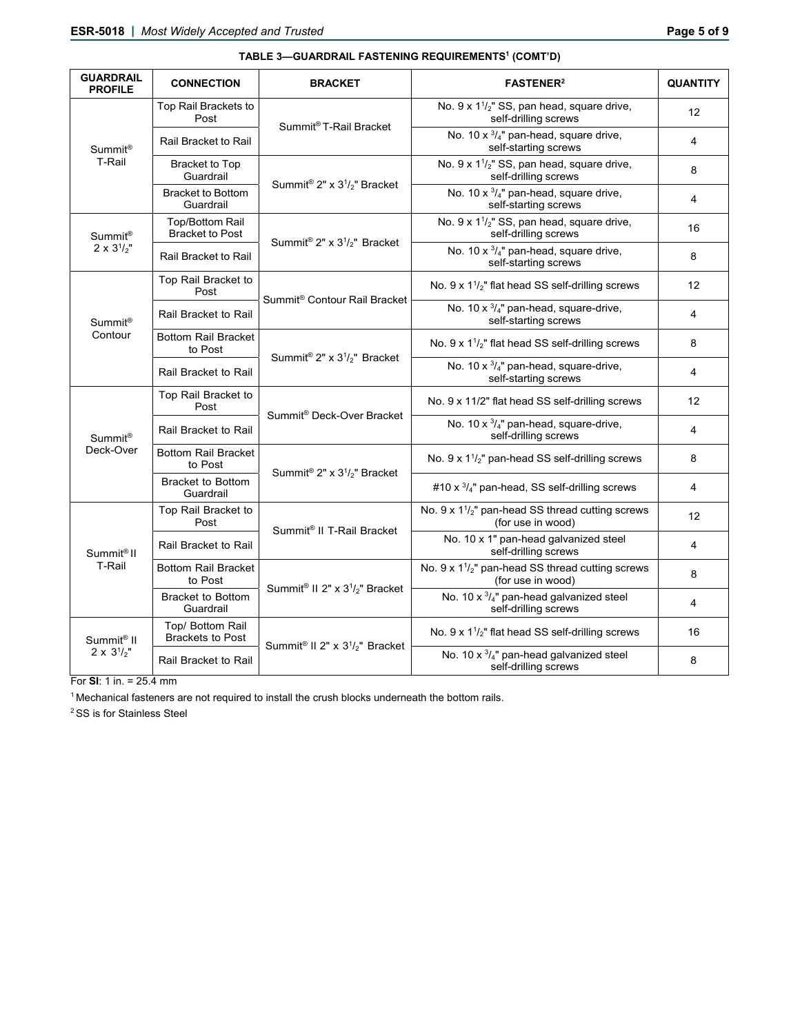| <b>GUARDRAIL</b><br><b>PROFILE</b>                               | <b>CONNECTION</b>                           | <b>BRACKET</b>                                                      | <b>FASTENER<sup>2</sup></b>                                                                 | <b>QUANTITY</b> |
|------------------------------------------------------------------|---------------------------------------------|---------------------------------------------------------------------|---------------------------------------------------------------------------------------------|-----------------|
| Summit®<br>T-Rail                                                | Top Rail Brackets to<br>Post                |                                                                     | No. 9 x 1 <sup>1</sup> / <sub>2</sub> " SS, pan head, square drive,<br>self-drilling screws | 12              |
|                                                                  | Rail Bracket to Rail                        | Summit <sup>®</sup> T-Rail Bracket                                  | No. 10 $x^3/4$ " pan-head, square drive,<br>self-starting screws                            | 4               |
|                                                                  | <b>Bracket to Top</b><br>Guardrail          | Summit® 2" x $3^{1}/2$ " Bracket                                    | No. $9 \times 1^{1/2}$ " SS, pan head, square drive,<br>self-drilling screws                | 8               |
|                                                                  | <b>Bracket to Bottom</b><br>Guardrail       |                                                                     | No. 10 $x^3/4$ " pan-head, square drive,<br>self-starting screws                            | 4               |
| Summit <sup>®</sup><br>$2 \times 3^{1/2}$ "                      | Top/Bottom Rail<br><b>Bracket to Post</b>   | Summit® 2" x 3 <sup>1</sup> / <sub>2</sub> " Bracket                | No. 9 x 1 <sup>1</sup> / <sub>2</sub> " SS, pan head, square drive,<br>self-drilling screws | 16              |
|                                                                  | Rail Bracket to Rail                        |                                                                     | No. 10 $x \frac{3}{4}$ " pan-head, square drive,<br>self-starting screws                    | 8               |
|                                                                  | Top Rail Bracket to<br>Post                 | Summit <sup>®</sup> Contour Rail Bracket                            | No. $9 \times 1^{1/2}$ " flat head SS self-drilling screws                                  | 12              |
| Summit®                                                          | Rail Bracket to Rail                        |                                                                     | No. 10 $x^3/4$ " pan-head, square-drive,<br>self-starting screws                            | 4               |
| Contour                                                          | <b>Bottom Rail Bracket</b><br>to Post       | Summit® 2" x 3 <sup>1</sup> / <sub>2</sub> " Bracket                | No. $9 \times 1^{1/2}$ " flat head SS self-drilling screws                                  | 8               |
|                                                                  | Rail Bracket to Rail                        |                                                                     | No. 10 $x$ $\frac{3}{4}$ " pan-head, square-drive,<br>self-starting screws                  | 4               |
| Summit®<br>Deck-Over                                             | Top Rail Bracket to<br>Post                 | Summit® Deck-Over Bracket                                           | No. 9 x 11/2" flat head SS self-drilling screws                                             | 12              |
|                                                                  | Rail Bracket to Rail                        |                                                                     | No. 10 $x \frac{3}{4}$ " pan-head, square-drive,<br>self-drilling screws                    | 4               |
|                                                                  | <b>Bottom Rail Bracket</b><br>to Post       | Summit® 2" x $3^{1}/2$ " Bracket                                    | No. 9 x 1 <sup>1</sup> / <sub>2</sub> " pan-head SS self-drilling screws                    | 8               |
|                                                                  | <b>Bracket to Bottom</b><br>Guardrail       |                                                                     | #10 x 3/4" pan-head, SS self-drilling screws                                                | 4               |
| Post<br>Summit <sup>®</sup> II<br>T-Rail<br>to Post<br>Guardrail | Top Rail Bracket to                         | Summit® II T-Rail Bracket                                           | No. $9 \times 1^{1}/2$ " pan-head SS thread cutting screws<br>(for use in wood)             | 12              |
|                                                                  | Rail Bracket to Rail                        |                                                                     | No. 10 x 1" pan-head galvanized steel<br>self-drilling screws                               | 4               |
|                                                                  | <b>Bottom Rail Bracket</b>                  |                                                                     | No. $9 \times 1^{1}/2$ " pan-head SS thread cutting screws<br>(for use in wood)             | 8               |
|                                                                  | <b>Bracket to Bottom</b>                    | Summit <sup>®</sup> II 2" x 3 <sup>1</sup> / <sub>2</sub> " Bracket | No. 10 x $\frac{3}{4}$ " pan-head galvanized steel<br>self-drilling screws                  | 4               |
| Summit <sup>®</sup> II<br>$2 \times 3^{1}/2$ "                   | Top/ Bottom Rail<br><b>Brackets to Post</b> |                                                                     | No. $9 \times 1^{1/2}$ " flat head SS self-drilling screws                                  | 16              |
|                                                                  | Rail Bracket to Rail                        | Summit® II 2" x 3 <sup>1</sup> / <sub>2</sub> " Bracket             | No. 10 $x \frac{3}{4}$ " pan-head galvanized steel<br>self-drilling screws                  | 8               |

For **SI**: 1 in. = 25.4 mm

<sup>1</sup> Mechanical fasteners are not required to install the crush blocks underneath the bottom rails.

2 SS is for Stainless Steel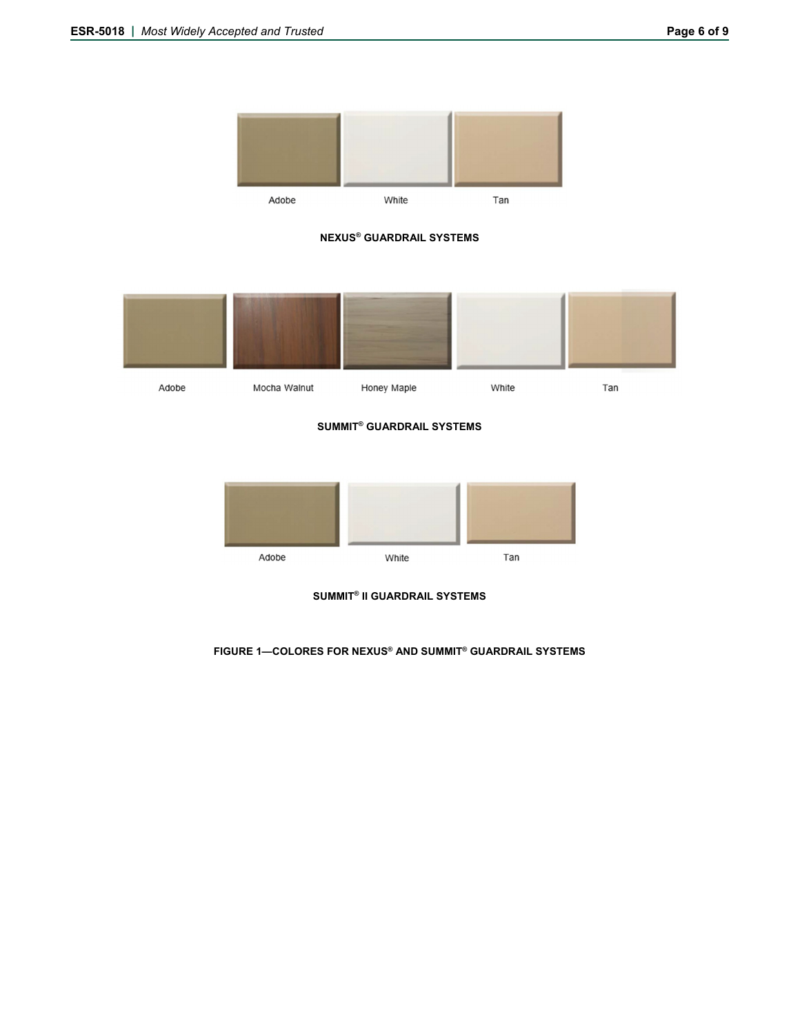





**SUMMIT® GUARDRAIL SYSTEMS** 



**SUMMIT® II GUARDRAIL SYSTEMS** 

# **FIGURE 1—COLORES FOR NEXUS® AND SUMMIT® GUARDRAIL SYSTEMS**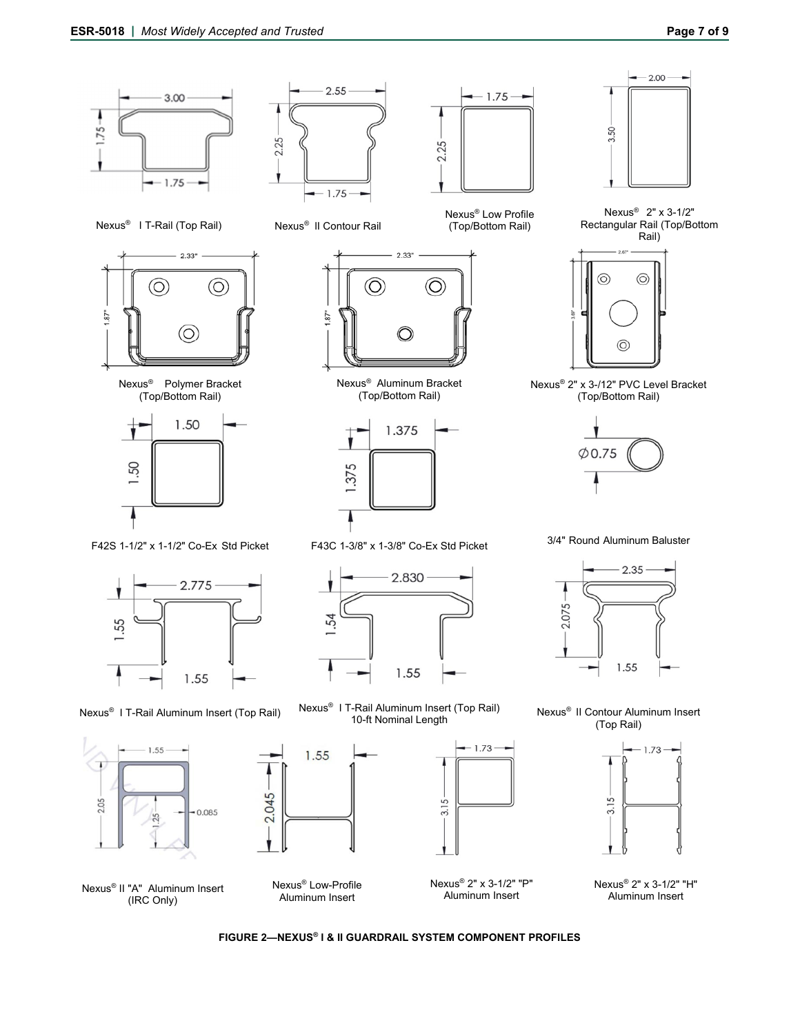



 $-18$ 

5  $1.37<sup>t</sup>$ 

 $\dot{5}$ 

Nexus® Aluminum Bracket (Top/Bottom Rail)

1.375

2.830

1.55

 $2.33"$ 

O)

(O)

Nexus® I T-Rail (Top Rail) Nexus® lI Contour Rail





F42S 1-1/2" x 1-1/2" Co-Ex Std Picket F43C 1-3/8" x 1-3/8" Co-Ex Std Picket 3/4" Round Aluminum Baluster



Nexus® I T-Rail Aluminum Insert (Top Rail) Nexus® I T-Rail Aluminum Insert (Top Rail)



Nexus® II "A" Aluminum Insert (IRC Only)

Nexus® Low-Profile Aluminum Insert

1.55

 $2.045 -$ 

Nexus® 2" x 3-1/2" "P" Aluminum Insert

 $-1.73$ 

 $3.15 -$ 

Nexus® 2" x 3-1/2" "H" Aluminum Insert





Nexus® Low Profile (Top/Bottom Rail)



Nexus® 2" x 3-1/2" Rectangular Rail (Top/Bottom Rail)



Nexus® 2" x 3-/12" PVC Level Bracket (Top/Bottom Rail)





Nexus<sup>®</sup> II Contour Aluminum Insert (Top Rail)

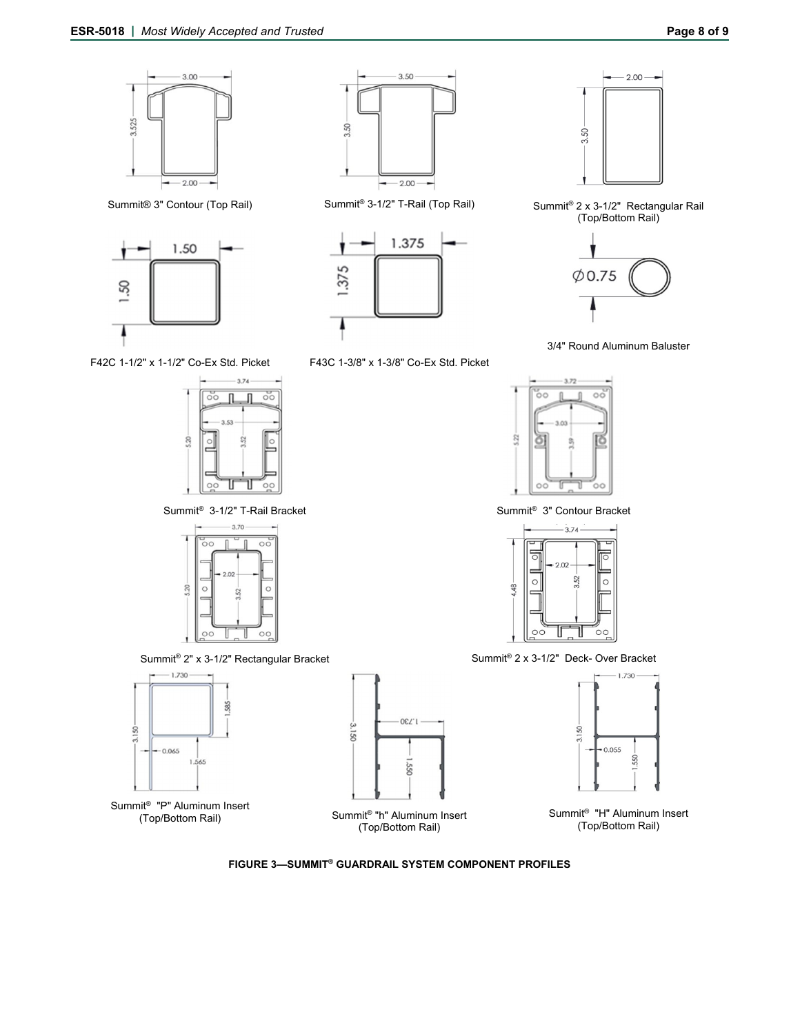

**FIGURE 3—SUMMIT® GUARDRAIL SYSTEM COMPONENT PROFILES**